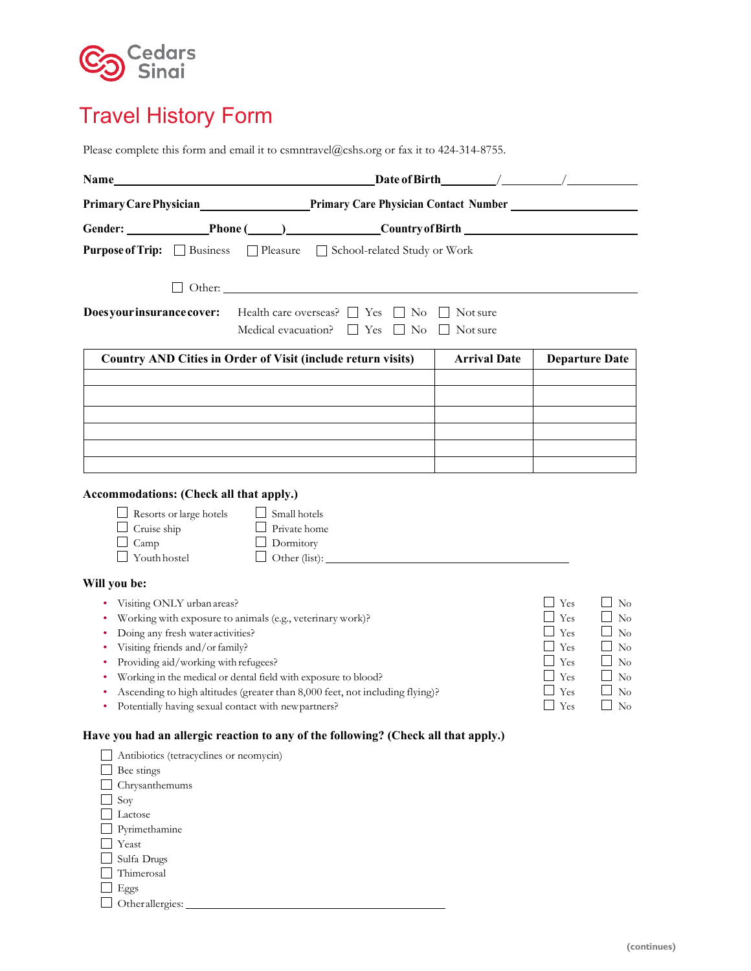### **Cedars Sinai**

# Travel History Form

Please complete this form and email it to csmntravel@cshs.org or fax it to 424-314-8755.

| <b>Name</b>                                                                                                                                                                                                                                                                              | <u> 1980 - Jan Samuel Barbara, martin di</u>                                                                                                                                                                                                             |                      |                                                                                                            |  |  |  |  |  |  |
|------------------------------------------------------------------------------------------------------------------------------------------------------------------------------------------------------------------------------------------------------------------------------------------|----------------------------------------------------------------------------------------------------------------------------------------------------------------------------------------------------------------------------------------------------------|----------------------|------------------------------------------------------------------------------------------------------------|--|--|--|--|--|--|
|                                                                                                                                                                                                                                                                                          | Primary Care Physician <b>Manufatan Primary Care Physician Contact Number</b>                                                                                                                                                                            |                      |                                                                                                            |  |  |  |  |  |  |
|                                                                                                                                                                                                                                                                                          | Gender: Phone ( ) Country of Birth Counter and Country of Birth Country of Birth Counter and Section 2014                                                                                                                                                |                      |                                                                                                            |  |  |  |  |  |  |
| <b>Purpose of Trip:</b> Business Pleasure School-related Study or Work                                                                                                                                                                                                                   |                                                                                                                                                                                                                                                          |                      |                                                                                                            |  |  |  |  |  |  |
|                                                                                                                                                                                                                                                                                          |                                                                                                                                                                                                                                                          |                      |                                                                                                            |  |  |  |  |  |  |
|                                                                                                                                                                                                                                                                                          |                                                                                                                                                                                                                                                          |                      |                                                                                                            |  |  |  |  |  |  |
| Does your insurance cover:                                                                                                                                                                                                                                                               | Health care overseas? $\Box$ Yes<br>$\Box$ No<br>Medical evacuation? $\Box$ Yes<br>$\Box$ No                                                                                                                                                             | Not sure<br>Not sure |                                                                                                            |  |  |  |  |  |  |
|                                                                                                                                                                                                                                                                                          | Country AND Cities in Order of Visit (include return visits)                                                                                                                                                                                             | <b>Arrival Date</b>  | <b>Departure Date</b>                                                                                      |  |  |  |  |  |  |
|                                                                                                                                                                                                                                                                                          |                                                                                                                                                                                                                                                          |                      |                                                                                                            |  |  |  |  |  |  |
|                                                                                                                                                                                                                                                                                          |                                                                                                                                                                                                                                                          |                      |                                                                                                            |  |  |  |  |  |  |
|                                                                                                                                                                                                                                                                                          |                                                                                                                                                                                                                                                          |                      |                                                                                                            |  |  |  |  |  |  |
|                                                                                                                                                                                                                                                                                          |                                                                                                                                                                                                                                                          |                      |                                                                                                            |  |  |  |  |  |  |
|                                                                                                                                                                                                                                                                                          |                                                                                                                                                                                                                                                          |                      |                                                                                                            |  |  |  |  |  |  |
| Resorts or large hotels<br>Cruise ship<br>Camp<br>Youth hostel<br>Will you be:<br>Visiting ONLY urban areas?<br>Doing any fresh water activities?<br>Visiting friends and/or family?<br>Providing aid/working with refugees?<br>Potentially having sexual contact with newpartners?<br>٠ | Small hotels<br>Private home<br>Dormitory<br>Working with exposure to animals (e.g., veterinary work)?<br>Working in the medical or dental field with exposure to blood?<br>Ascending to high altitudes (greater than 8,000 feet, not including flying)? |                      | Yes<br>No<br>Yes<br>No<br>Yes<br>No<br>Yes<br>$\rm No$<br>Yes<br>No<br>Yes<br>No<br>Yes<br>No<br>Yes<br>No |  |  |  |  |  |  |
| Antibiotics (tetracyclines or neomycin)<br>Bee stings<br>Chrysanthemums<br>Soy<br>Lactose<br>Pyrimethamine<br>Yeast<br>Sulfa Drugs<br>Thimerosal<br>Eggs<br>Otherallergies:                                                                                                              | Have you had an allergic reaction to any of the following? (Check all that apply.)                                                                                                                                                                       |                      |                                                                                                            |  |  |  |  |  |  |